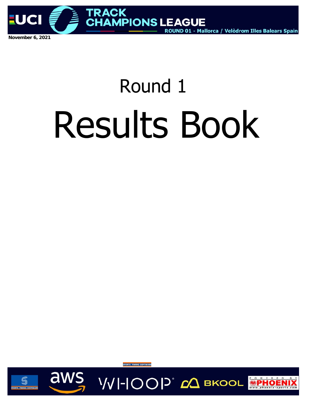

# Round 1 Results Book





**VVI-IOOP** CA BKOOL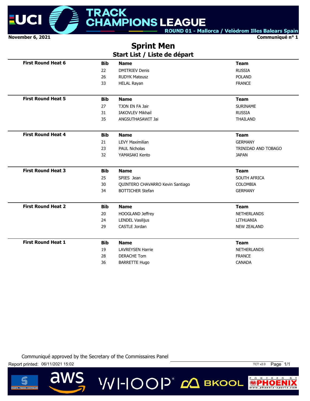

**Communiqué n° 1**

# **Sprint Men**

| Start List / Liste de départ |
|------------------------------|
|------------------------------|

| <b>First Round Heat 6</b> | <b>Bib</b> | <b>Name</b>                      | <b>Team</b>         |
|---------------------------|------------|----------------------------------|---------------------|
|                           | 22         | <b>DMITRIEV Denis</b>            | <b>RUSSIA</b>       |
|                           | 26         | <b>RUDYK Mateusz</b>             | <b>POLAND</b>       |
|                           | 33         | <b>HELAL Rayan</b>               | <b>FRANCE</b>       |
| <b>First Round Heat 5</b> | <b>Bib</b> | <b>Name</b>                      | <b>Team</b>         |
|                           | 27         | TJON EN FA Jair                  | <b>SURINAME</b>     |
|                           | 31         | <b>IAKOVLEV Mikhail</b>          | <b>RUSSIA</b>       |
|                           | 35         | ANGSUTHASAWIT Jai                | <b>THAILAND</b>     |
| <b>First Round Heat 4</b> | <b>Bib</b> | <b>Name</b>                      | <b>Team</b>         |
|                           | 21         | <b>LEVY Maximilian</b>           | <b>GERMANY</b>      |
|                           | 23         | <b>PAUL Nicholas</b>             | TRINIDAD AND TOBAGO |
|                           | 32         | YAMASAKI Kento                   | <b>JAPAN</b>        |
| <b>First Round Heat 3</b> | <b>Bib</b> | <b>Name</b>                      | <b>Team</b>         |
|                           | 25         | SPIES Jean                       | SOUTH AFRICA        |
|                           | 30         | QUINTERO CHAVARRO Kevin Santiago | COLOMBIA            |
|                           | 34         | <b>BOTTICHER Stefan</b>          | <b>GERMANY</b>      |
| <b>First Round Heat 2</b> | <b>Bib</b> | <b>Name</b>                      | <b>Team</b>         |
|                           | 20         | HOOGLAND Jeffrey                 | <b>NETHERLANDS</b>  |
|                           | 24         | <b>LENDEL Vasilijus</b>          | LITHUANIA           |
|                           | 29         | CASTLE Jordan                    | <b>NEW ZEALAND</b>  |
|                           |            |                                  |                     |
| <b>First Round Heat 1</b> | <b>Bib</b> | <b>Name</b>                      | <b>Team</b>         |
|                           | 19         | <b>LAVREYSEN Harrie</b>          | <b>NETHERLANDS</b>  |
|                           | 28         | <b>DERACHE Tom</b>               | <b>FRANCE</b>       |

**VVI-IOOP** ДВКООL

Communiqué approved by the Secretary of the Commissaires Panel

Report printed: 06/11/2021 15:02 15:02

 $\overline{\mathbf{d}}$ 



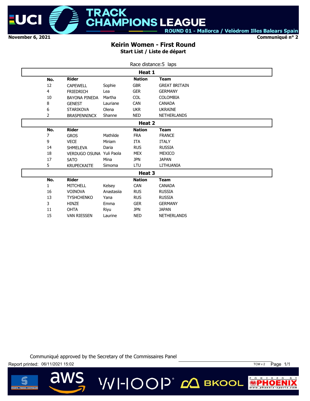

**Communiqué n° 2**

#### **Keirin Women - First Round Start List / Liste de départ**

|                |                          |            | Race distance: 5 laps |                      |
|----------------|--------------------------|------------|-----------------------|----------------------|
|                |                          |            | Heat 1                |                      |
| No.            | <b>Rider</b>             |            | <b>Nation</b>         | <b>Team</b>          |
| 12             | <b>CAPEWELL</b>          | Sophie     | <b>GBR</b>            | <b>GREAT BRITAIN</b> |
| 4              | <b>FRIEDRICH</b>         | Lea        | <b>GER</b>            | <b>GERMANY</b>       |
| 10             | <b>BAYONA PINEDA</b>     | Martha     | <b>COL</b>            | <b>COLOMBIA</b>      |
| 8              | <b>GENEST</b>            | Lauriane   | <b>CAN</b>            | <b>CANADA</b>        |
| 6              | <b>STARIKOVA</b>         | Olena      | <b>UKR</b>            | <b>UKRAINE</b>       |
| $\overline{2}$ | <b>BRASPENNINCX</b>      | Shanne     | <b>NED</b>            | <b>NETHERLANDS</b>   |
|                |                          |            | Heat 2                |                      |
| No.            | <b>Rider</b>             |            | <b>Nation</b>         | <b>Team</b>          |
| 7              | <b>GROS</b>              | Mathilde   | <b>FRA</b>            | <b>FRANCE</b>        |
| 9              | <b>VECE</b>              | Miriam     | <b>ITA</b>            | <b>ITALY</b>         |
| 14             | <b>SHMELEVA</b>          | Daria      | <b>RUS</b>            | <b>RUSSIA</b>        |
| 18             | VERDUGO OSUNA Yuli Paola |            | <b>MEX</b>            | MEXICO               |
| $17\,$         | <b>SATO</b>              | Mina       | <b>JPN</b>            | <b>JAPAN</b>         |
| 5              | <b>KRUPECKAITE</b>       | Simoma     | LTU                   | LITHUANIA            |
|                |                          |            | Heat 3                |                      |
| No.            | <b>Rider</b>             |            | <b>Nation</b>         | <b>Team</b>          |
| 1              | <b>MITCHELL</b>          | Kelsey     | <b>CAN</b>            | <b>CANADA</b>        |
| 16             | <b>VOINOVA</b>           | Anastasija | <b>RUS</b>            | <b>RUSSIA</b>        |
| 13             | <b>TYSHCHENKO</b>        | Yana       | <b>RUS</b>            | <b>RUSSIA</b>        |
| 3              | <b>HINZE</b>             | Emma       | <b>GER</b>            | <b>GERMANY</b>       |
| 11             | <b>OHTA</b>              | Riyu       | <b>JPN</b>            | <b>JAPAN</b>         |
| 15             | <b>VAN RIESSEN</b>       | Laurine    | <b>NED</b>            | <b>NETHERLANDS</b>   |

Communiqué approved by the Secretary of the Commissaires Panel

**VVI-IOOP** CA BKOOL



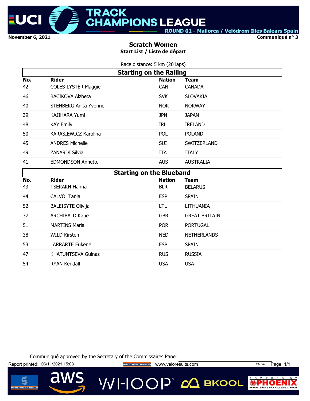

**Communiqué n° 3**

#### **Scratch Women Start List / Liste de départ**

|           | Race distance: 5 km (20 laps)              |                             |                               |
|-----------|--------------------------------------------|-----------------------------|-------------------------------|
|           | <b>Starting on the Railing</b>             |                             |                               |
| No.<br>42 | <b>Rider</b><br><b>COLES-LYSTER Maggie</b> | <b>Nation</b><br><b>CAN</b> | <b>Team</b><br><b>CANADA</b>  |
| 46        | <b>BACIKOVA Alzbeta</b>                    | <b>SVK</b>                  | <b>SLOVAKIA</b>               |
| 40        | <b>STENBERG Anita Yvonne</b>               | <b>NOR</b>                  | <b>NORWAY</b>                 |
| 39        | <b>KAJIHARA Yumi</b>                       | <b>JPN</b>                  | <b>JAPAN</b>                  |
| 48        | <b>KAY Emily</b>                           | <b>IRL</b>                  | <b>IRELAND</b>                |
| 50        | <b>KARASIEWICZ Karolina</b>                | POL                         | <b>POLAND</b>                 |
| 45        | <b>ANDRES Michelle</b>                     | <b>SUI</b>                  | SWITZERLAND                   |
| 49        | <b>ZANARDI Silvia</b>                      | <b>ITA</b>                  | <b>ITALY</b>                  |
| 41        | <b>EDMONDSON Annette</b>                   | <b>AUS</b>                  | <b>AUSTRALIA</b>              |
|           |                                            |                             |                               |
|           | <b>Starting on the Blueband</b>            |                             |                               |
| No.<br>43 | <b>Rider</b><br><b>TSERAKH Hanna</b>       | <b>Nation</b><br><b>BLR</b> | <b>Team</b><br><b>BELARUS</b> |
| 44        | CALVO Tania                                | <b>ESP</b>                  | <b>SPAIN</b>                  |
| 52        | <b>BALEISYTE Olivija</b>                   | <b>LTU</b>                  | <b>LITHUANIA</b>              |
| 37        | <b>ARCHIBALD Katie</b>                     | <b>GBR</b>                  | <b>GREAT BRITAIN</b>          |
| 51        | <b>MARTINS Maria</b>                       | <b>POR</b>                  | <b>PORTUGAL</b>               |
| 38        | <b>WILD Kirsten</b>                        | <b>NED</b>                  | <b>NETHERLANDS</b>            |
| 53        | <b>LARRARTE Eukene</b>                     | <b>ESP</b>                  | <b>SPAIN</b>                  |
| 47        | <b>KHATUNTSEVA Gulnaz</b>                  | <b>RUS</b>                  | <b>RUSSIA</b>                 |

Communiqué approved by the Secretary of the Commissaires Panel

Report printed: 06/11/2021 15:03 **Website The SPORTS TIMING SOFTWARE** WWW.Veloresults.com TCM v4 Page 1/1

 $\overline{\mathbf{d}}$ 

**VVI-IOOP** ДВКООL



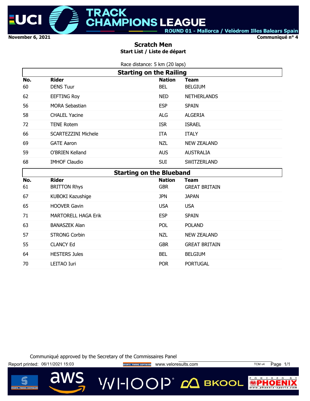

**Communiqué n° 4**

#### **Scratch Men Start List / Liste de départ**

|     | Race distance: 5 km (20 laps)   |               |                      |
|-----|---------------------------------|---------------|----------------------|
|     | <b>Starting on the Railing</b>  |               |                      |
| No. | <b>Rider</b>                    | <b>Nation</b> | <b>Team</b>          |
| 60  | <b>DENS Tuur</b>                | <b>BEL</b>    | <b>BELGIUM</b>       |
| 62  | <b>EEFTING Roy</b>              | <b>NED</b>    | <b>NETHERLANDS</b>   |
| 56  | <b>MORA Sebastian</b>           | <b>ESP</b>    | <b>SPAIN</b>         |
| 58  | <b>CHALEL Yacine</b>            | <b>ALG</b>    | <b>ALGERIA</b>       |
| 72  | <b>TENE Rotem</b>               | <b>ISR</b>    | <b>ISRAEL</b>        |
| 66  | <b>SCARTEZZINI Michele</b>      | <b>ITA</b>    | <b>ITALY</b>         |
| 69  | <b>GATE Aaron</b>               | <b>NZL</b>    | <b>NEW ZEALAND</b>   |
| 59  | O'BRIEN Kelland                 | <b>AUS</b>    | <b>AUSTRALIA</b>     |
| 68  | <b>IMHOF Claudio</b>            | <b>SUI</b>    | SWITZERLAND          |
|     | <b>Starting on the Blueband</b> |               |                      |
|     |                                 |               |                      |
| No. | <b>Rider</b>                    | <b>Nation</b> | <b>Team</b>          |
| 61  | <b>BRITTON Rhys</b>             | <b>GBR</b>    | <b>GREAT BRITAIN</b> |
| 67  | KUBOKI Kazushige                | <b>JPN</b>    | <b>JAPAN</b>         |
| 65  | <b>HOOVER Gavin</b>             | <b>USA</b>    | <b>USA</b>           |
| 71  | <b>MARTORELL HAGA Erik</b>      | <b>ESP</b>    | <b>SPAIN</b>         |
| 63  | <b>BANASZEK Alan</b>            | POL           | <b>POLAND</b>        |
| 57  | <b>STRONG Corbin</b>            | <b>NZL</b>    | <b>NEW ZEALAND</b>   |
| 55  | <b>CLANCY Ed</b>                | <b>GBR</b>    | <b>GREAT BRITAIN</b> |
| 64  | <b>HESTERS Jules</b>            | <b>BEL</b>    | <b>BELGIUM</b>       |

Communiqué approved by the Secretary of the Commissaires Panel

Report printed: 06/11/2021 15:03 **Website The SPORTS TIMING SOFTWARE** WWW.Veloresults.com TCM v4 Page 1/1

d



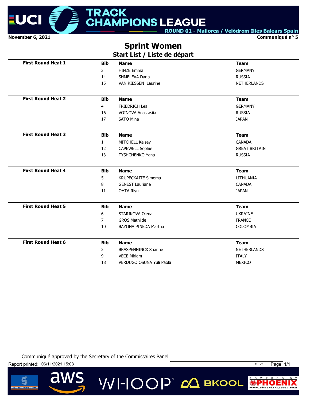

**Communiqué n° 5**

# **Sprint Women**

**Start List / Liste de départ**

| <b>First Round Heat 1</b> | <b>Bib</b>     | <b>Name</b>                | <b>Team</b>          |
|---------------------------|----------------|----------------------------|----------------------|
|                           | 3              | <b>HINZE Emma</b>          | <b>GERMANY</b>       |
|                           | 14             | SHMELEVA Daria             | <b>RUSSIA</b>        |
|                           | 15             | <b>VAN RIESSEN Laurine</b> | <b>NETHERLANDS</b>   |
| <b>First Round Heat 2</b> | <b>Bib</b>     | <b>Name</b>                | <b>Team</b>          |
|                           | 4              | <b>FRIEDRICH Lea</b>       | <b>GERMANY</b>       |
|                           | 16             | <b>VOINOVA Anastasija</b>  | <b>RUSSIA</b>        |
|                           | 17             | <b>SATO Mina</b>           | <b>JAPAN</b>         |
| <b>First Round Heat 3</b> | <b>Bib</b>     | <b>Name</b>                | <b>Team</b>          |
|                           | $\mathbf{1}$   | MITCHELL Kelsey            | <b>CANADA</b>        |
|                           | 12             | <b>CAPEWELL Sophie</b>     | <b>GREAT BRITAIN</b> |
|                           | 13             | TYSHCHENKO Yana            | <b>RUSSIA</b>        |
| <b>First Round Heat 4</b> | <b>Bib</b>     | <b>Name</b>                | <b>Team</b>          |
|                           | 5              | <b>KRUPECKAITE Simoma</b>  | LITHUANIA            |
|                           | 8              | <b>GENEST Lauriane</b>     | <b>CANADA</b>        |
|                           | 11             | <b>OHTA Riyu</b>           | <b>JAPAN</b>         |
| <b>First Round Heat 5</b> | <b>Bib</b>     | <b>Name</b>                | <b>Team</b>          |
|                           | 6              | STARIKOVA Olena            | <b>UKRAINE</b>       |
|                           | $\overline{7}$ | <b>GROS Mathilde</b>       | <b>FRANCE</b>        |
|                           | 10             | BAYONA PINEDA Martha       | <b>COLOMBIA</b>      |
| <b>First Round Heat 6</b> | <b>Bib</b>     | <b>Name</b>                | <b>Team</b>          |
|                           | $\overline{2}$ | <b>BRASPENNINCX Shanne</b> | <b>NETHERLANDS</b>   |
|                           | 9              | <b>VECE Miriam</b>         | <b>ITALY</b>         |
|                           |                |                            |                      |

**VVI-IOOP**® ДВКООL

Communiqué approved by the Secretary of the Commissaires Panel

Report printed: 06/11/2021 15:03 TCT v2.0 Page 1/1

 $\overline{\mathbf{d}}$ 



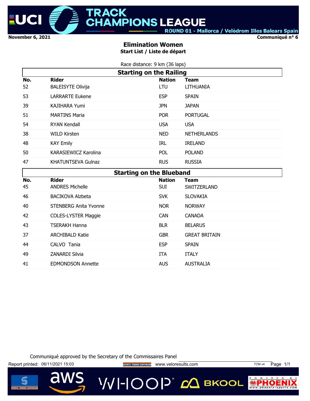

**Communiqué n° 6**

#### **Elimination Women Start List / Liste de départ**

Race distance: 9 km (36 laps)

|           |                                          | <b>Starting on the Railing</b>  |                          |  |
|-----------|------------------------------------------|---------------------------------|--------------------------|--|
| No.<br>52 | <b>Rider</b><br><b>BALEISYTE Olivija</b> | <b>Nation</b><br>LTU            | <b>Team</b><br>LITHUANIA |  |
| 53        | <b>LARRARTE Eukene</b>                   | <b>ESP</b>                      | <b>SPAIN</b>             |  |
| 39        | <b>KAJIHARA Yumi</b>                     | <b>JPN</b>                      | <b>JAPAN</b>             |  |
| 51        | <b>MARTINS Maria</b>                     | <b>POR</b>                      | <b>PORTUGAL</b>          |  |
| 54        | <b>RYAN Kendall</b>                      | <b>USA</b>                      | <b>USA</b>               |  |
| 38        | <b>WILD Kirsten</b>                      | <b>NED</b>                      | <b>NETHERLANDS</b>       |  |
| 48        | <b>KAY Emily</b>                         | IRL                             | <b>IRELAND</b>           |  |
| 50        | KARASIEWICZ Karolina                     | <b>POL</b>                      | <b>POLAND</b>            |  |
| 47        | <b>KHATUNTSEVA Gulnaz</b>                | <b>RUS</b>                      | <b>RUSSIA</b>            |  |
|           |                                          | <b>Starting on the Blueband</b> |                          |  |
| No.       | <b>Rider</b>                             | <b>Nation</b>                   | <b>Team</b>              |  |
| 45        | <b>ANDRES Michelle</b>                   | <b>SUI</b>                      | SWITZERLAND              |  |

|           | sun ang vn ans siassana                |                             |                      |
|-----------|----------------------------------------|-----------------------------|----------------------|
| No.<br>45 | <b>Rider</b><br><b>ANDRES Michelle</b> | <b>Nation</b><br><b>SUI</b> | Team<br>SWITZERLAND  |
| 46        | <b>BACIKOVA Alzbeta</b>                | <b>SVK</b>                  | <b>SLOVAKIA</b>      |
| 40        | <b>STENBERG Anita Yvonne</b>           | <b>NOR</b>                  | <b>NORWAY</b>        |
| 42        | <b>COLES-LYSTER Maggie</b>             | <b>CAN</b>                  | <b>CANADA</b>        |
| 43        | <b>TSERAKH Hanna</b>                   | <b>BLR</b>                  | <b>BELARUS</b>       |
| 37        | <b>ARCHIBALD Katie</b>                 | <b>GBR</b>                  | <b>GREAT BRITAIN</b> |
| 44        | CALVO Tania                            | <b>ESP</b>                  | <b>SPAIN</b>         |
| 49        | <b>ZANARDI Silvia</b>                  | <b>ITA</b>                  | <b>ITALY</b>         |
| 41        | <b>EDMONDSON Annette</b>               | <b>AUS</b>                  | <b>AUSTRALIA</b>     |

Communiqué approved by the Secretary of the Commissaires Panel

Report printed: 06/11/2021 15:03 **Website The SPORTS TIMING SOFTWARE** WWW.Veloresults.com TCM v4 Page 1/1

VVI-IOOP® *с*Д вкооц



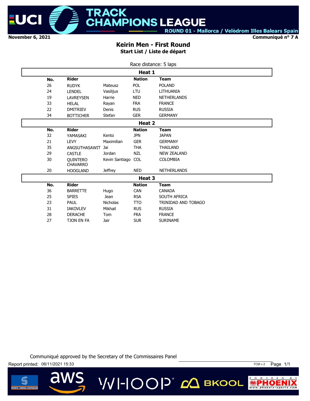

**Communiqué n° 7 A**

#### **Keirin Men - First Round Start List / Liste de départ**

|     |                                    |                    | Race distance: 5 laps |                     |
|-----|------------------------------------|--------------------|-----------------------|---------------------|
|     |                                    |                    | Heat 1                |                     |
| No. | <b>Rider</b>                       |                    | <b>Nation</b>         | <b>Team</b>         |
| 26  | <b>RUDYK</b>                       | Mateusz            | <b>POL</b>            | <b>POLAND</b>       |
| 24  | <b>LENDEL</b>                      | Vasilijus          | LTU                   | LITHUANIA           |
| 19  | <b>LAVREYSEN</b>                   | Harrie             | <b>NED</b>            | <b>NETHERLANDS</b>  |
| 33  | <b>HELAL</b>                       | Rayan              | <b>FRA</b>            | <b>FRANCE</b>       |
| 22  | <b>DMITRIEV</b>                    | Denis              | <b>RUS</b>            | <b>RUSSIA</b>       |
| 34  | <b>BOTTICHER</b>                   | Stefan             | <b>GER</b>            | <b>GERMANY</b>      |
|     |                                    |                    | Heat 2                |                     |
| No. | <b>Rider</b>                       |                    | <b>Nation</b>         | <b>Team</b>         |
| 32  | YAMASAKI                           | Kento              | <b>JPN</b>            | <b>JAPAN</b>        |
| 21  | <b>LEVY</b>                        | Maximilian         | <b>GER</b>            | <b>GERMANY</b>      |
| 35  | ANGSUTHASAWIT                      | Jai                | <b>THA</b>            | <b>THAILAND</b>     |
| 29  | <b>CASTLE</b>                      | Jordan             | <b>NZL</b>            | <b>NEW ZEALAND</b>  |
| 30  | <b>OUINTERO</b><br><b>CHAVARRO</b> | Kevin Santiago COL |                       | <b>COLOMBIA</b>     |
| 20  | <b>HOOGLAND</b>                    | <b>Jeffrey</b>     | <b>NED</b>            | <b>NETHERLANDS</b>  |
|     |                                    |                    | Heat 3                |                     |
| No. | <b>Rider</b>                       |                    | <b>Nation</b>         | <b>Team</b>         |
| 36  | <b>BARRETTE</b>                    | Hugo               | <b>CAN</b>            | <b>CANADA</b>       |
| 25  | <b>SPIES</b>                       | <b>Jean</b>        | <b>RSA</b>            | SOUTH AFRICA        |
| 23  | PAUL                               | <b>Nicholas</b>    | <b>TTO</b>            | TRINIDAD AND TOBAGO |
| 31  | <b>IAKOVLEV</b>                    | Mikhail            | <b>RUS</b>            | <b>RUSSIA</b>       |
| 28  | <b>DERACHE</b>                     | Tom                | <b>FRA</b>            | <b>FRANCE</b>       |
| 27  | <b>TJON EN FA</b>                  | Jair               | <b>SUR</b>            | <b>SURINAME</b>     |

Communiqué approved by the Secretary of the Commissaires Panel

**VVI-IOOP** CA BKOOL

Report printed: 06/11/2021 15:33 TCM v 2 Page 1/1

 $\overline{\mathbf{d}}$ 



 $\circ$ W E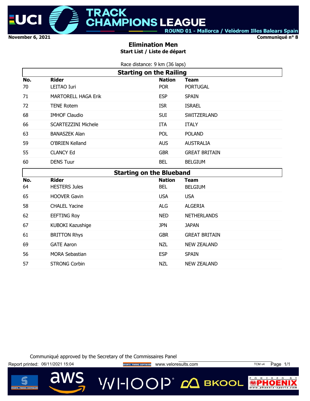

**Communiqué n° 8**

#### **Elimination Men Start List / Liste de départ**

|     | Race distance: 9 km (36 laps)   |               |                      |
|-----|---------------------------------|---------------|----------------------|
|     | <b>Starting on the Railing</b>  |               |                      |
| No. | <b>Rider</b>                    | <b>Nation</b> | <b>Team</b>          |
| 70  | <b>LEITAO Iuri</b>              | <b>POR</b>    | <b>PORTUGAL</b>      |
| 71  | <b>MARTORELL HAGA Erik</b>      | <b>ESP</b>    | <b>SPAIN</b>         |
| 72  | <b>TENE Rotem</b>               | <b>ISR</b>    | <b>ISRAEL</b>        |
| 68  | <b>IMHOF Claudio</b>            | <b>SUI</b>    | SWITZERLAND          |
| 66  | <b>SCARTEZZINI Michele</b>      | <b>ITA</b>    | <b>ITALY</b>         |
| 63  | <b>BANASZEK Alan</b>            | POL           | <b>POLAND</b>        |
| 59  | O'BRIEN Kelland                 | <b>AUS</b>    | <b>AUSTRALIA</b>     |
| 55  | <b>CLANCY Ed</b>                | <b>GBR</b>    | <b>GREAT BRITAIN</b> |
| 60  | <b>DENS Tuur</b>                | <b>BEL</b>    | <b>BELGIUM</b>       |
|     | <b>Starting on the Blueband</b> |               |                      |
| No. | <b>Rider</b>                    |               |                      |
|     |                                 | <b>Nation</b> | <b>Team</b>          |
| 64  | <b>HESTERS Jules</b>            | <b>BEL</b>    | <b>BELGIUM</b>       |
| 65  | <b>HOOVER Gavin</b>             | <b>USA</b>    | <b>USA</b>           |
| 58  | <b>CHALEL Yacine</b>            | <b>ALG</b>    | <b>ALGERIA</b>       |
| 62  | <b>EEFTING Roy</b>              | <b>NED</b>    | <b>NETHERLANDS</b>   |
| 67  | KUBOKI Kazushige                | <b>JPN</b>    | <b>JAPAN</b>         |
| 61  | <b>BRITTON Rhys</b>             | <b>GBR</b>    | <b>GREAT BRITAIN</b> |
| 69  | <b>GATE Aaron</b>               | <b>NZL</b>    | <b>NEW ZEALAND</b>   |
| 56  | <b>MORA Sebastian</b>           | <b>ESP</b>    | <b>SPAIN</b>         |

Communiqué approved by the Secretary of the Commissaires Panel



 $\overline{\mathbf{d}}$ 

**VVI-IOOP** CA BKOOL



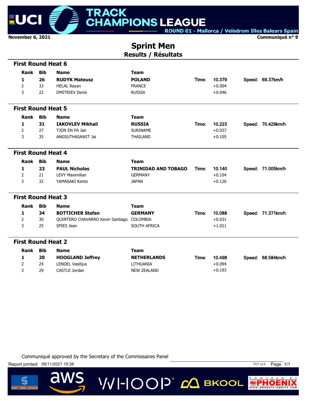

**Communiqué n° 9**

## **Sprint Men Results / Résultats**

| <b>First Round Heat 6</b> |            |                                           |                            |       |          |                   |
|---------------------------|------------|-------------------------------------------|----------------------------|-------|----------|-------------------|
| Rank                      | <b>Bib</b> | <b>Name</b>                               | <b>Team</b>                |       |          |                   |
| 1                         | 26         | <b>RUDYK Mateusz</b>                      | <b>POLAND</b>              | Time: | 10.379   | Speed: 69.37km/h  |
| $\overline{2}$            | 33         | <b>HELAL Rayan</b>                        | <b>FRANCE</b>              |       | $+0.004$ |                   |
| 3                         | 22         | <b>DMITRIEV Denis</b>                     | <b>RUSSIA</b>              |       | $+0.046$ |                   |
| <b>First Round Heat 5</b> |            |                                           |                            |       |          |                   |
| Rank                      | <b>Bib</b> | <b>Name</b>                               | <b>Team</b>                |       |          |                   |
| 1                         | 31         | <b>IAKOVLEV Mikhail</b>                   | <b>RUSSIA</b>              | Time: | 10.223   | Speed: 70.429km/h |
| $\overline{2}$            | 27         | TJON EN FA Jair                           | <b>SURINAME</b>            |       | $+0.037$ |                   |
| 3                         | 35         | ANGSUTHASAWIT Jai                         | <b>THAILAND</b>            |       | $+0.105$ |                   |
| <b>First Round Heat 4</b> |            |                                           |                            |       |          |                   |
| Rank                      | <b>Bib</b> | <b>Name</b>                               | <b>Team</b>                |       |          |                   |
| 1                         | 23         | <b>PAUL Nicholas</b>                      | <b>TRINIDAD AND TOBAGO</b> | Time: | 10.140   | Speed: 71.005km/h |
| $\overline{2}$            | 21         | <b>LEVY Maximilian</b>                    | <b>GERMANY</b>             |       | $+0.104$ |                   |
| 3                         | 32         | YAMASAKI Kento                            | <b>JAPAN</b>               |       | $+0.126$ |                   |
| <b>First Round Heat 3</b> |            |                                           |                            |       |          |                   |
| Rank                      | Bib        | <b>Name</b>                               | <b>Team</b>                |       |          |                   |
| 1                         | 34         | <b>BOTTICHER Stefan</b>                   | <b>GERMANY</b>             | Time: | 10.088   | Speed: 71.371km/h |
| $\overline{2}$            | 30         | QUINTERO CHAVARRO Kevin Santiago COLOMBIA |                            |       | $+0.031$ |                   |
| 3                         | 25         | SPIES Jean                                | SOUTH AFRICA               |       | $+1.021$ |                   |
| <b>First Round Heat 2</b> |            |                                           |                            |       |          |                   |
| <b>Rank</b>               | <b>Bib</b> | <b>Name</b>                               | <b>Team</b>                |       |          |                   |
| 1                         | 20         | <b>HOOGLAND Jeffrey</b>                   | <b>NETHERLANDS</b>         | Time: | 10.498   | Speed: 68.584km/h |
| 2                         | 24         | LENDEL Vasilijus                          | LITHUANIA                  |       | $+0.094$ |                   |
| 3                         | 29         | CASTLE Jordan                             | <b>NEW ZEALAND</b>         |       | $+0.193$ |                   |

**VVI-IOOP** CA BKOOL

Communiqué approved by the Secretary of the Commissaires Panel



 $\overline{\mathbf{d}}$ 



 $P$  0  $W$  E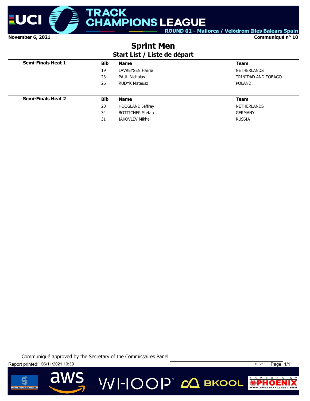

**Communiqué n° 10**

# **Sprint Men**

#### **Start List / Liste de départ**

| <b>Semi-Finals Heat 1</b> | <b>Bib</b> | <b>Name</b>             | <b>Team</b>         |
|---------------------------|------------|-------------------------|---------------------|
|                           | 19         | <b>LAVREYSEN Harrie</b> | NETHERLANDS         |
|                           | 23         | <b>PAUL Nicholas</b>    | TRINIDAD AND TOBAGO |
|                           | 26         | <b>RUDYK Mateusz</b>    | <b>POLAND</b>       |
|                           |            |                         |                     |
|                           |            |                         |                     |
| <b>Semi-Finals Heat 2</b> | <b>Bib</b> | <b>Name</b>             | <b>Team</b>         |
|                           | 20         | <b>HOOGLAND Jeffrey</b> | NETHERLANDS         |
|                           | 34         | <b>BOTTICHER Stefan</b> | <b>GERMANY</b>      |

Communiqué approved by the Secretary of the Commissaires Panel





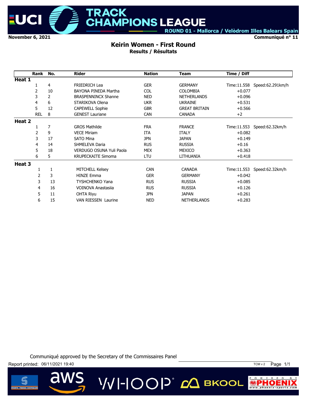

**Communiqué n° 11**

# **Keirin Women - First Round**

**MPIONS LEAGUE** 

**TRACK** 

**Results / Résultats**

|        | Rank       | No.          | <b>Rider</b>               | <b>Nation</b> | <b>Team</b>          | Time / Diff  |                  |
|--------|------------|--------------|----------------------------|---------------|----------------------|--------------|------------------|
| Heat 1 |            |              |                            |               |                      |              |                  |
|        |            | 4            | <b>FRIEDRICH Lea</b>       | <b>GER</b>    | <b>GERMANY</b>       | Time:11.558  | Speed:62.291km/h |
|        | 2          | 10           | BAYONA PINEDA Martha       | <b>COL</b>    | <b>COLOMBIA</b>      | $+0.077$     |                  |
|        | 3          | 2            | <b>BRASPENNINCX Shanne</b> | <b>NED</b>    | <b>NETHERLANDS</b>   | $+0.096$     |                  |
|        | 4          | 6            | STARIKOVA Olena            | <b>UKR</b>    | <b>UKRAINE</b>       | $+0.531$     |                  |
|        | 5          | 12           | <b>CAPEWELL Sophie</b>     | <b>GBR</b>    | <b>GREAT BRITAIN</b> | $+0.566$     |                  |
|        | <b>REL</b> | 8            | <b>GENEST Lauriane</b>     | <b>CAN</b>    | <b>CANADA</b>        | $+2$         |                  |
| Heat 2 |            |              |                            |               |                      |              |                  |
|        |            | 7            | <b>GROS Mathilde</b>       | <b>FRA</b>    | <b>FRANCE</b>        | Time: 11.553 | Speed:62.32km/h  |
|        | 2          | 9            | <b>VECE Miriam</b>         | <b>ITA</b>    | <b>ITALY</b>         | $+0.082$     |                  |
|        | 3          | 17           | <b>SATO Mina</b>           | <b>JPN</b>    | <b>JAPAN</b>         | $+0.149$     |                  |
|        | 4          | 14           | SHMELEVA Daria             | <b>RUS</b>    | <b>RUSSIA</b>        | $+0.16$      |                  |
|        | 5          | 18           | VERDUGO OSUNA Yuli Paola   | <b>MEX</b>    | <b>MEXICO</b>        | $+0.363$     |                  |
|        | 6          | 5            | <b>KRUPECKAITE Simoma</b>  | LTU           | LITHUANIA            | $+0.418$     |                  |
| Heat 3 |            |              |                            |               |                      |              |                  |
|        | 1          | $\mathbf{1}$ | <b>MITCHELL Kelsey</b>     | <b>CAN</b>    | <b>CANADA</b>        | Time:11.553  | Speed:62.32km/h  |
|        | 2          | 3            | <b>HINZE Emma</b>          | <b>GER</b>    | <b>GERMANY</b>       | $+0.042$     |                  |
|        | 3          | 13           | <b>TYSHCHENKO Yana</b>     | <b>RUS</b>    | <b>RUSSIA</b>        | $+0.085$     |                  |
|        | 4          | 16           | VOINOVA Anastasija         | <b>RUS</b>    | <b>RUSSIA</b>        | $+0.126$     |                  |
|        | 5          | 11           | OHTA Riyu                  | <b>JPN</b>    | <b>JAPAN</b>         | $+0.261$     |                  |
|        | 6          | 15           | <b>VAN RIESSEN Laurine</b> | <b>NED</b>    | <b>NETHERLANDS</b>   | $+0.283$     |                  |

**VVI-IOOP** CA BKOOL

Communiqué approved by the Secretary of the Commissaires Panel



 $\overline{\mathbf{d}}$ 



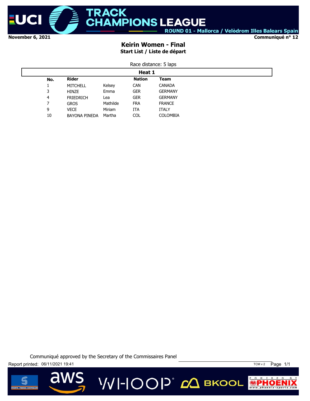

#### **Communiqué n° 12**

#### **Keirin Women - Final Start List / Liste de départ**

|     |                     |               | Race distance: 5 laps |          |  |
|-----|---------------------|---------------|-----------------------|----------|--|
|     |                     |               | Heat 1                |          |  |
| No. | <b>Rider</b>        |               | <b>Nation</b>         | Team     |  |
|     | $MTT$ $C1$ $T$ $T1$ | $17 - 1 - 22$ | $\sim$ ANI            | $C$ ANIA |  |

|              | MITCHELL             | Kelsey   | <b>CAN</b> | <b>CANADA</b>  |  |
|--------------|----------------------|----------|------------|----------------|--|
| $\mathbf{z}$ | <b>HINZE</b>         | Emma     | GER        | <b>GERMANY</b> |  |
| 4            | <b>FRIEDRICH</b>     | Lea      | GER        | <b>GERMANY</b> |  |
|              | <b>GROS</b>          | Mathilde | <b>FRA</b> | <b>FRANCE</b>  |  |
| 9            | VECE                 | Miriam   | ITA        | <b>ITALY</b>   |  |
| 10           | <b>BAYONA PINEDA</b> | Martha   | COL        | COLOMBIA       |  |

Communiqué approved by the Secretary of the Commissaires Panel

Report printed: 06/11/2021 19:41 19:41

d





 $\circ$  $W$  E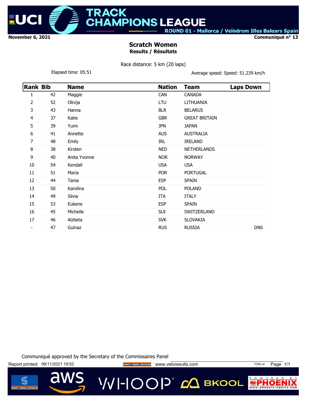

CK.

**Communiqué n° 13**

#### **Scratch Women Results / Résultats**

Race distance: 5 km (20 laps)

Elapsed time: 05:51 Clapsed time: 05:51

| <b>Rank Bib</b> |    | <b>Name</b>  | <b>Nation</b> | <b>Team</b>          | <b>Laps Down</b> |
|-----------------|----|--------------|---------------|----------------------|------------------|
| 1               | 42 | Maggie       | <b>CAN</b>    | <b>CANADA</b>        |                  |
| 2               | 52 | Olivija      | LTU           | LITHUANIA            |                  |
| 3               | 43 | Hanna        | <b>BLR</b>    | <b>BELARUS</b>       |                  |
| 4               | 37 | Katie        | <b>GBR</b>    | <b>GREAT BRITAIN</b> |                  |
| 5               | 39 | Yumi         | <b>JPN</b>    | <b>JAPAN</b>         |                  |
| 6               | 41 | Annette      | <b>AUS</b>    | <b>AUSTRALIA</b>     |                  |
| 7               | 48 | Emily        | <b>IRL</b>    | <b>IRELAND</b>       |                  |
| 8               | 38 | Kirsten      | <b>NED</b>    | <b>NETHERLANDS</b>   |                  |
| 9               | 40 | Anita Yvonne | <b>NOR</b>    | <b>NORWAY</b>        |                  |
| 10              | 54 | Kendall      | <b>USA</b>    | <b>USA</b>           |                  |
| 11              | 51 | Maria        | <b>POR</b>    | <b>PORTUGAL</b>      |                  |
| 12              | 44 | Tania        | <b>ESP</b>    | <b>SPAIN</b>         |                  |
| 13              | 50 | Karolina     | <b>POL</b>    | <b>POLAND</b>        |                  |
| 14              | 49 | Silvia       | <b>ITA</b>    | <b>ITALY</b>         |                  |
| 15              | 53 | Eukene       | <b>ESP</b>    | <b>SPAIN</b>         |                  |
| 16              | 45 | Michelle     | <b>SUI</b>    | SWITZERLAND          |                  |
| 17              | 46 | Alzbeta      | <b>SVK</b>    | <b>SLOVAKIA</b>      |                  |
|                 | 47 | Gulnaz       | <b>RUS</b>    | <b>RUSSIA</b>        | <b>DNS</b>       |

Communiqué approved by the Secretary of the Commissaires Panel

Report printed: 06/11/2021 19:52 **Website the SPORTS TIMING SOFTWARE** WWW.Veloresults.com TCM v4 Page 1/1

**VVI-IOOP** 20 BKOOL

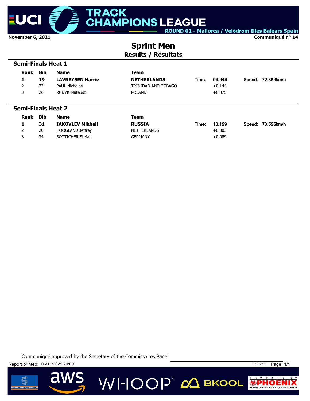

**Communiqué n° 14**

## **Sprint Men Results / Résultats**

| <b>Semi-Finals Heat 1</b> |            |                         |                     |       |          |  |                   |  |
|---------------------------|------------|-------------------------|---------------------|-------|----------|--|-------------------|--|
| Rank                      | <b>Bib</b> | <b>Name</b>             | Team                |       |          |  |                   |  |
| 1                         | 19         | <b>LAVREYSEN Harrie</b> | <b>NETHERLANDS</b>  | Time: | 09.949   |  | Speed: 72.369km/h |  |
| 2                         | 23         | <b>PAUL Nicholas</b>    | TRINIDAD AND TOBAGO |       | $+0.144$ |  |                   |  |
| 3                         | 26         | <b>RUDYK Mateusz</b>    | <b>POLAND</b>       |       | $+0.375$ |  |                   |  |
|                           |            |                         |                     |       |          |  |                   |  |
| <b>Semi-Finals Heat 2</b> |            |                         |                     |       |          |  |                   |  |

| <b>Rank</b> | Bib | <b>Name</b>             | Team               |       |          |                   |
|-------------|-----|-------------------------|--------------------|-------|----------|-------------------|
|             | 31  | <b>IAKOVLEV Mikhail</b> | <b>RUSSIA</b>      | Time: | 10.199   | Speed: 70.595km/h |
|             | 20  | HOOGLAND Jeffrey        | <b>NETHERLANDS</b> |       | $+0.003$ |                   |
|             | 34  | BOTTICHER Stefan        | <b>GERMANY</b>     |       | $+0.089$ |                   |

Communiqué approved by the Secretary of the Commissaires Panel







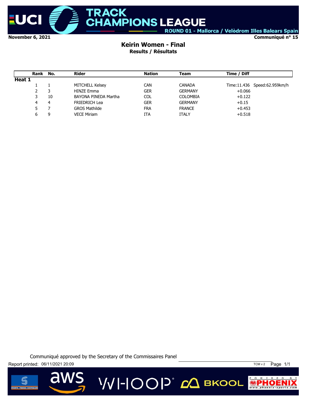

**Communiqué n° 15**

#### **Keirin Women - Final Results / Résultats**

|        | Rank No. |    | Rider                  | <b>Nation</b> | Team            | Time / Diff |                              |
|--------|----------|----|------------------------|---------------|-----------------|-------------|------------------------------|
| Heat 1 |          |    |                        |               |                 |             |                              |
|        |          |    | <b>MITCHELL Kelsey</b> | <b>CAN</b>    | <b>CANADA</b>   |             | Time:11.436 Speed:62.959km/h |
|        |          | 3  | <b>HINZE Emma</b>      | <b>GER</b>    | <b>GERMANY</b>  | $+0.066$    |                              |
|        |          | 10 | BAYONA PINEDA Martha   | <b>COL</b>    | <b>COLOMBIA</b> | $+0.122$    |                              |
|        | 4        | 4  | <b>FRIEDRICH Lea</b>   | <b>GER</b>    | <b>GERMANY</b>  | $+0.15$     |                              |
|        |          |    | <b>GROS Mathilde</b>   | <b>FRA</b>    | <b>FRANCE</b>   | $+0.453$    |                              |
|        |          | 9  | <b>VECE Miriam</b>     | ITA           | <b>ITALY</b>    | $+0.518$    |                              |

Communiqué approved by the Secretary of the Commissaires Panel





 $\overline{\mathbf{d}}$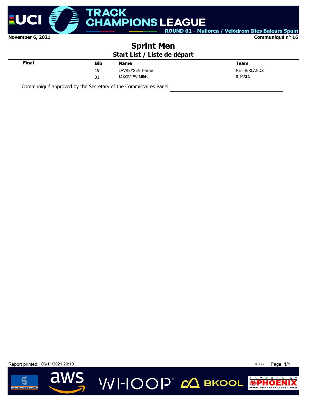

**Communiqué n° 16**

#### **Sprint Men Start List / Liste de départ**

| <b>Final</b> | <b>Bib</b> | <b>Name</b>             | Team          |
|--------------|------------|-------------------------|---------------|
|              | 19         | <b>LAVREYSEN Harrie</b> | NETHERLANDS   |
|              | 31         | <b>IAKOVLEV Mikhail</b> | <b>RUSSIA</b> |
|              |            |                         |               |

Communiqué approved by the Secretary of the Commissaires Panel

Report printed: 06/11/2021 20:10 **TCT v2** Page 1/1

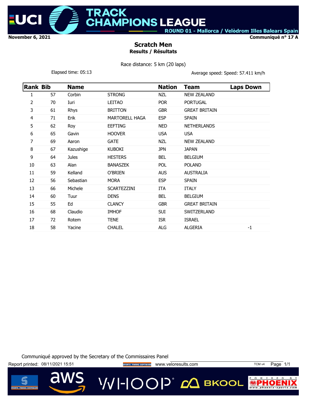

**Communiqué n° 17 A**

#### **Scratch Men Results / Résultats**

**APIONS LEAGUE** 

CK.

Race distance: 5 km (20 laps)

Elapsed time: 05:13 **Average speed: Speed: 57.411 km/h** 

| <b>Rank Bib</b> |    | <b>Name</b>  |                       | <b>Nation</b> | <b>Team</b>          | <b>Laps Down</b> |
|-----------------|----|--------------|-----------------------|---------------|----------------------|------------------|
| 1               | 57 | Corbin       | <b>STRONG</b>         | <b>NZL</b>    | <b>NEW ZEALAND</b>   |                  |
| 2               | 70 | Iuri         | LEITAO                | <b>POR</b>    | <b>PORTUGAL</b>      |                  |
| 3               | 61 | Rhys         | <b>BRITTON</b>        | <b>GBR</b>    | <b>GREAT BRITAIN</b> |                  |
| 4               | 71 | Erik         | <b>MARTORELL HAGA</b> | <b>ESP</b>    | <b>SPAIN</b>         |                  |
| 5               | 62 | Roy          | <b>EEFTING</b>        | <b>NED</b>    | <b>NETHERLANDS</b>   |                  |
| 6               | 65 | Gavin        | <b>HOOVER</b>         | <b>USA</b>    | <b>USA</b>           |                  |
| 7               | 69 | Aaron        | <b>GATE</b>           | <b>NZL</b>    | <b>NEW ZEALAND</b>   |                  |
| 8               | 67 | Kazushige    | <b>KUBOKI</b>         | <b>JPN</b>    | <b>JAPAN</b>         |                  |
| 9               | 64 | <b>Jules</b> | <b>HESTERS</b>        | <b>BEL</b>    | <b>BELGIUM</b>       |                  |
| 10              | 63 | Alan         | <b>BANASZEK</b>       | POL           | <b>POLAND</b>        |                  |
| 11              | 59 | Kelland      | O'BRIEN               | <b>AUS</b>    | <b>AUSTRALIA</b>     |                  |
| 12              | 56 | Sebastian    | <b>MORA</b>           | <b>ESP</b>    | <b>SPAIN</b>         |                  |
| 13              | 66 | Michele      | SCARTEZZINI           | ITA           | <b>ITALY</b>         |                  |
| 14              | 60 | Tuur         | <b>DENS</b>           | <b>BEL</b>    | <b>BELGIUM</b>       |                  |
| 15              | 55 | Ed           | <b>CLANCY</b>         | <b>GBR</b>    | <b>GREAT BRITAIN</b> |                  |
| 16              | 68 | Claudio      | <b>IMHOF</b>          | SUI           | SWITZERLAND          |                  |
| 17              | 72 | Rotem        | <b>TENE</b>           | <b>ISR</b>    | <b>ISRAEL</b>        |                  |
| 18              | 58 | Yacine       | <b>CHALEL</b>         | <b>ALG</b>    | <b>ALGERIA</b>       | $-1$             |

Communiqué approved by the Secretary of the Commissaires Panel

Report printed: 08/11/2021 15:51 **Website the SPORTS TIMING SOFTWARE** WWW.Veloresults.com TCM v4 Page 1/1

**VVI-IOOP** 20 BKOOL



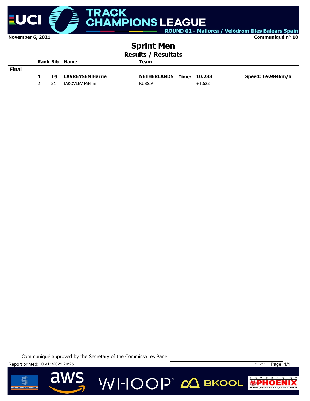

**ACK AMPIONS LEAGUE** ROUND 01 - Mallorca / Velòdrom Illes Balears Spain

**Communiqué n° 18**

# **Sprint Men**

**Results / Résultats**

|              |    | <b>Rank Bib Name</b>    | Team                            |          |                   |
|--------------|----|-------------------------|---------------------------------|----------|-------------------|
| <b>Final</b> |    |                         |                                 |          |                   |
|              | 19 | <b>LAVREYSEN Harrie</b> | <b>NETHERLANDS Time: 10.288</b> |          | Speed: 69.984km/h |
|              | 31 | IAKOVLEV Mikhail        | <b>RUSSIA</b>                   | $+1.622$ |                   |

VVI-IOOP® сД вкооц

Communiqué approved by the Secretary of the Commissaires Panel

Report printed: 06/11/2021 20:25 TCT v2.0 Page 1/1



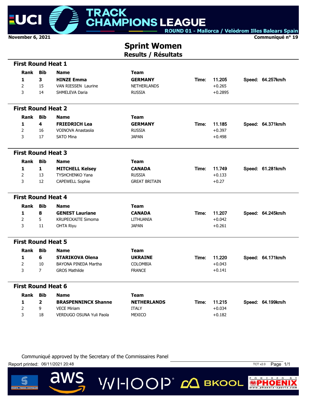

 **First Round Heat 1**

ROUND 01 - Mallorca / Velòdrom Illes Balears Spain

**Communiqué n° 19**

**Sprint Women**

**Results / Résultats**

| <b>Bib</b><br>Rank<br>Team<br><b>Name</b><br>3<br><b>HINZE Emma</b><br><b>GERMANY</b><br>11.205<br>1<br>Time:<br>Speed: 64.257km/h<br>$\overline{2}$<br>15<br>VAN RIESSEN Laurine<br>$+0.265$<br><b>NETHERLANDS</b><br>3<br>$+0.2895$<br>14<br><b>RUSSIA</b><br>SHMELEVA Daria<br><b>First Round Heat 2</b><br><b>Bib</b><br>Rank<br><b>Name</b><br><b>Team</b><br>4<br><b>FRIEDRICH Lea</b><br><b>GERMANY</b><br>11.185<br>Speed: 64.371km/h<br>1<br>Time:<br>2<br>$+0.397$<br>16<br>VOINOVA Anastasija<br><b>RUSSIA</b><br>3<br>17<br><b>SATO Mina</b><br><b>JAPAN</b><br>$+0.498$<br><b>First Round Heat 3</b><br>Rank<br><b>Bib</b><br><b>Team</b><br><b>Name</b><br>11.749<br>Speed: 61.281km/h<br>1<br>1<br><b>MITCHELL Kelsey</b><br><b>CANADA</b><br>Time:<br>$\overline{2}$<br>13<br><b>TYSHCHENKO Yana</b><br><b>RUSSIA</b><br>$+0.133$<br>3<br><b>GREAT BRITAIN</b><br>12<br><b>CAPEWELL Sophie</b><br>$+0.27$<br><b>First Round Heat 4</b><br><b>Bib</b><br>Rank<br><b>Team</b><br><b>Name</b><br>8<br><b>CANADA</b><br>1<br><b>GENEST Lauriane</b><br>11.207<br>Speed: 64.245km/h<br>Time:<br>$\overline{2}$<br>5<br><b>KRUPECKAITE Simoma</b><br>$+0.042$<br>LITHUANIA<br>$+0.261$<br>3<br><b>JAPAN</b><br>11<br><b>OHTA Riyu</b><br><b>First Round Heat 5</b><br><b>Bib</b><br>Rank<br><b>Name</b><br>Team<br>6<br>11.220<br>1<br><b>STARIKOVA Olena</b><br><b>UKRAINE</b><br>Speed: 64.171km/h<br>Time:<br>BAYONA PINEDA Martha<br><b>COLOMBIA</b><br>$+0.043$<br>2<br>10<br>3<br>$\overline{7}$<br><b>GROS Mathilde</b><br><b>FRANCE</b><br>$+0.141$<br><b>First Round Heat 6</b><br>Rank<br><b>Bib</b><br>Team<br><b>Name</b><br>$\overline{2}$<br>1<br>11.215<br><b>BRASPENNINCX Shanne</b><br><b>NETHERLANDS</b><br>Speed: 64.199km/h<br>Time:<br>$\overline{2}$<br>9<br><b>VECE Miriam</b><br><b>ITALY</b><br>$+0.034$<br>3<br>18<br>VERDUGO OSUNA Yuli Paola<br><b>MEXICO</b><br>$+0.182$ |  |  |  |  |  |
|-----------------------------------------------------------------------------------------------------------------------------------------------------------------------------------------------------------------------------------------------------------------------------------------------------------------------------------------------------------------------------------------------------------------------------------------------------------------------------------------------------------------------------------------------------------------------------------------------------------------------------------------------------------------------------------------------------------------------------------------------------------------------------------------------------------------------------------------------------------------------------------------------------------------------------------------------------------------------------------------------------------------------------------------------------------------------------------------------------------------------------------------------------------------------------------------------------------------------------------------------------------------------------------------------------------------------------------------------------------------------------------------------------------------------------------------------------------------------------------------------------------------------------------------------------------------------------------------------------------------------------------------------------------------------------------------------------------------------------------------------------------------------------------------------------------------------------------------------------------------------------------------------------------------|--|--|--|--|--|
|                                                                                                                                                                                                                                                                                                                                                                                                                                                                                                                                                                                                                                                                                                                                                                                                                                                                                                                                                                                                                                                                                                                                                                                                                                                                                                                                                                                                                                                                                                                                                                                                                                                                                                                                                                                                                                                                                                                 |  |  |  |  |  |
|                                                                                                                                                                                                                                                                                                                                                                                                                                                                                                                                                                                                                                                                                                                                                                                                                                                                                                                                                                                                                                                                                                                                                                                                                                                                                                                                                                                                                                                                                                                                                                                                                                                                                                                                                                                                                                                                                                                 |  |  |  |  |  |
|                                                                                                                                                                                                                                                                                                                                                                                                                                                                                                                                                                                                                                                                                                                                                                                                                                                                                                                                                                                                                                                                                                                                                                                                                                                                                                                                                                                                                                                                                                                                                                                                                                                                                                                                                                                                                                                                                                                 |  |  |  |  |  |
|                                                                                                                                                                                                                                                                                                                                                                                                                                                                                                                                                                                                                                                                                                                                                                                                                                                                                                                                                                                                                                                                                                                                                                                                                                                                                                                                                                                                                                                                                                                                                                                                                                                                                                                                                                                                                                                                                                                 |  |  |  |  |  |
|                                                                                                                                                                                                                                                                                                                                                                                                                                                                                                                                                                                                                                                                                                                                                                                                                                                                                                                                                                                                                                                                                                                                                                                                                                                                                                                                                                                                                                                                                                                                                                                                                                                                                                                                                                                                                                                                                                                 |  |  |  |  |  |
|                                                                                                                                                                                                                                                                                                                                                                                                                                                                                                                                                                                                                                                                                                                                                                                                                                                                                                                                                                                                                                                                                                                                                                                                                                                                                                                                                                                                                                                                                                                                                                                                                                                                                                                                                                                                                                                                                                                 |  |  |  |  |  |
|                                                                                                                                                                                                                                                                                                                                                                                                                                                                                                                                                                                                                                                                                                                                                                                                                                                                                                                                                                                                                                                                                                                                                                                                                                                                                                                                                                                                                                                                                                                                                                                                                                                                                                                                                                                                                                                                                                                 |  |  |  |  |  |
|                                                                                                                                                                                                                                                                                                                                                                                                                                                                                                                                                                                                                                                                                                                                                                                                                                                                                                                                                                                                                                                                                                                                                                                                                                                                                                                                                                                                                                                                                                                                                                                                                                                                                                                                                                                                                                                                                                                 |  |  |  |  |  |
|                                                                                                                                                                                                                                                                                                                                                                                                                                                                                                                                                                                                                                                                                                                                                                                                                                                                                                                                                                                                                                                                                                                                                                                                                                                                                                                                                                                                                                                                                                                                                                                                                                                                                                                                                                                                                                                                                                                 |  |  |  |  |  |
|                                                                                                                                                                                                                                                                                                                                                                                                                                                                                                                                                                                                                                                                                                                                                                                                                                                                                                                                                                                                                                                                                                                                                                                                                                                                                                                                                                                                                                                                                                                                                                                                                                                                                                                                                                                                                                                                                                                 |  |  |  |  |  |
|                                                                                                                                                                                                                                                                                                                                                                                                                                                                                                                                                                                                                                                                                                                                                                                                                                                                                                                                                                                                                                                                                                                                                                                                                                                                                                                                                                                                                                                                                                                                                                                                                                                                                                                                                                                                                                                                                                                 |  |  |  |  |  |
|                                                                                                                                                                                                                                                                                                                                                                                                                                                                                                                                                                                                                                                                                                                                                                                                                                                                                                                                                                                                                                                                                                                                                                                                                                                                                                                                                                                                                                                                                                                                                                                                                                                                                                                                                                                                                                                                                                                 |  |  |  |  |  |
|                                                                                                                                                                                                                                                                                                                                                                                                                                                                                                                                                                                                                                                                                                                                                                                                                                                                                                                                                                                                                                                                                                                                                                                                                                                                                                                                                                                                                                                                                                                                                                                                                                                                                                                                                                                                                                                                                                                 |  |  |  |  |  |
|                                                                                                                                                                                                                                                                                                                                                                                                                                                                                                                                                                                                                                                                                                                                                                                                                                                                                                                                                                                                                                                                                                                                                                                                                                                                                                                                                                                                                                                                                                                                                                                                                                                                                                                                                                                                                                                                                                                 |  |  |  |  |  |
|                                                                                                                                                                                                                                                                                                                                                                                                                                                                                                                                                                                                                                                                                                                                                                                                                                                                                                                                                                                                                                                                                                                                                                                                                                                                                                                                                                                                                                                                                                                                                                                                                                                                                                                                                                                                                                                                                                                 |  |  |  |  |  |
|                                                                                                                                                                                                                                                                                                                                                                                                                                                                                                                                                                                                                                                                                                                                                                                                                                                                                                                                                                                                                                                                                                                                                                                                                                                                                                                                                                                                                                                                                                                                                                                                                                                                                                                                                                                                                                                                                                                 |  |  |  |  |  |
|                                                                                                                                                                                                                                                                                                                                                                                                                                                                                                                                                                                                                                                                                                                                                                                                                                                                                                                                                                                                                                                                                                                                                                                                                                                                                                                                                                                                                                                                                                                                                                                                                                                                                                                                                                                                                                                                                                                 |  |  |  |  |  |
|                                                                                                                                                                                                                                                                                                                                                                                                                                                                                                                                                                                                                                                                                                                                                                                                                                                                                                                                                                                                                                                                                                                                                                                                                                                                                                                                                                                                                                                                                                                                                                                                                                                                                                                                                                                                                                                                                                                 |  |  |  |  |  |
|                                                                                                                                                                                                                                                                                                                                                                                                                                                                                                                                                                                                                                                                                                                                                                                                                                                                                                                                                                                                                                                                                                                                                                                                                                                                                                                                                                                                                                                                                                                                                                                                                                                                                                                                                                                                                                                                                                                 |  |  |  |  |  |
|                                                                                                                                                                                                                                                                                                                                                                                                                                                                                                                                                                                                                                                                                                                                                                                                                                                                                                                                                                                                                                                                                                                                                                                                                                                                                                                                                                                                                                                                                                                                                                                                                                                                                                                                                                                                                                                                                                                 |  |  |  |  |  |
|                                                                                                                                                                                                                                                                                                                                                                                                                                                                                                                                                                                                                                                                                                                                                                                                                                                                                                                                                                                                                                                                                                                                                                                                                                                                                                                                                                                                                                                                                                                                                                                                                                                                                                                                                                                                                                                                                                                 |  |  |  |  |  |
|                                                                                                                                                                                                                                                                                                                                                                                                                                                                                                                                                                                                                                                                                                                                                                                                                                                                                                                                                                                                                                                                                                                                                                                                                                                                                                                                                                                                                                                                                                                                                                                                                                                                                                                                                                                                                                                                                                                 |  |  |  |  |  |
|                                                                                                                                                                                                                                                                                                                                                                                                                                                                                                                                                                                                                                                                                                                                                                                                                                                                                                                                                                                                                                                                                                                                                                                                                                                                                                                                                                                                                                                                                                                                                                                                                                                                                                                                                                                                                                                                                                                 |  |  |  |  |  |
|                                                                                                                                                                                                                                                                                                                                                                                                                                                                                                                                                                                                                                                                                                                                                                                                                                                                                                                                                                                                                                                                                                                                                                                                                                                                                                                                                                                                                                                                                                                                                                                                                                                                                                                                                                                                                                                                                                                 |  |  |  |  |  |
|                                                                                                                                                                                                                                                                                                                                                                                                                                                                                                                                                                                                                                                                                                                                                                                                                                                                                                                                                                                                                                                                                                                                                                                                                                                                                                                                                                                                                                                                                                                                                                                                                                                                                                                                                                                                                                                                                                                 |  |  |  |  |  |
|                                                                                                                                                                                                                                                                                                                                                                                                                                                                                                                                                                                                                                                                                                                                                                                                                                                                                                                                                                                                                                                                                                                                                                                                                                                                                                                                                                                                                                                                                                                                                                                                                                                                                                                                                                                                                                                                                                                 |  |  |  |  |  |
|                                                                                                                                                                                                                                                                                                                                                                                                                                                                                                                                                                                                                                                                                                                                                                                                                                                                                                                                                                                                                                                                                                                                                                                                                                                                                                                                                                                                                                                                                                                                                                                                                                                                                                                                                                                                                                                                                                                 |  |  |  |  |  |
|                                                                                                                                                                                                                                                                                                                                                                                                                                                                                                                                                                                                                                                                                                                                                                                                                                                                                                                                                                                                                                                                                                                                                                                                                                                                                                                                                                                                                                                                                                                                                                                                                                                                                                                                                                                                                                                                                                                 |  |  |  |  |  |
|                                                                                                                                                                                                                                                                                                                                                                                                                                                                                                                                                                                                                                                                                                                                                                                                                                                                                                                                                                                                                                                                                                                                                                                                                                                                                                                                                                                                                                                                                                                                                                                                                                                                                                                                                                                                                                                                                                                 |  |  |  |  |  |

VVI-IOOP® сД вкооц

Communiqué approved by the Secretary of the Commissaires Panel

Report printed: 06/11/2021 20:48 TCT v2.0 Page 1/1

 $\overline{\mathbf{d}}$ 



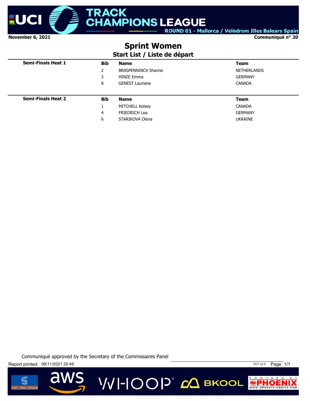

**Communiqué n° 20**

# **Sprint Women**

#### **Start List / Liste de départ**

| <b>Semi-Finals Heat 1</b> | <b>Bib</b> | <b>Name</b>                | <b>Team</b>        |
|---------------------------|------------|----------------------------|--------------------|
|                           | 2          | <b>BRASPENNINCX Shanne</b> | <b>NETHERLANDS</b> |
|                           | 3          | <b>HINZE Emma</b>          | <b>GERMANY</b>     |
|                           | 8          | <b>GENEST Lauriane</b>     | <b>CANADA</b>      |
|                           |            |                            |                    |
| <b>Semi-Finals Heat 2</b> | <b>Bib</b> | <b>Name</b>                | <b>Team</b>        |
|                           |            | <b>MITCHELL Kelsey</b>     | <b>CANADA</b>      |
|                           | 4          | <b>FRIEDRICH Lea</b>       | <b>GERMANY</b>     |
|                           | 6          | STARIKOVA Olena            | <b>UKRAINE</b>     |

**VVI-IOOP**® ДВКООL

Communiqué approved by the Secretary of the Commissaires Panel





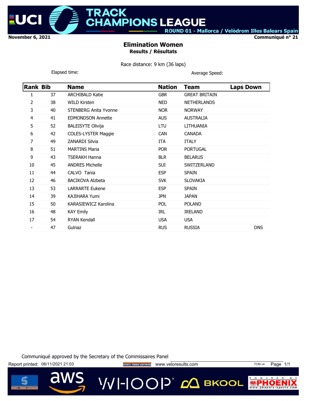

# **IPIONS LEAGUE**

ACK

ROUND 01 - Mallorca / Velòdrom Illes Balears Spain

**Communiqué n° 21**

#### **Elimination Women Results / Résultats**

Race distance: 9 km (36 laps)

| Elapsed time: |
|---------------|
|---------------|

Average Speed:

| <b>Rank Bib</b> |    | <b>Name</b>                  | <b>Nation</b> | <b>Team</b>          | <b>Laps Down</b> |
|-----------------|----|------------------------------|---------------|----------------------|------------------|
| 1               | 37 | <b>ARCHIBALD Katie</b>       | <b>GBR</b>    | <b>GREAT BRITAIN</b> |                  |
| 2               | 38 | <b>WILD Kirsten</b>          | <b>NED</b>    | <b>NETHERLANDS</b>   |                  |
| 3               | 40 | <b>STENBERG Anita Yvonne</b> | <b>NOR</b>    | <b>NORWAY</b>        |                  |
| 4               | 41 | <b>EDMONDSON Annette</b>     | <b>AUS</b>    | <b>AUSTRALIA</b>     |                  |
| 5               | 52 | <b>BALEISYTE Olivija</b>     | LTU           | LITHUANIA            |                  |
| 6               | 42 | <b>COLES-LYSTER Maggie</b>   | <b>CAN</b>    | <b>CANADA</b>        |                  |
| 7               | 49 | <b>ZANARDI Silvia</b>        | ITA           | <b>ITALY</b>         |                  |
| 8               | 51 | <b>MARTINS Maria</b>         | <b>POR</b>    | <b>PORTUGAL</b>      |                  |
| 9               | 43 | <b>TSERAKH Hanna</b>         | <b>BLR</b>    | <b>BELARUS</b>       |                  |
| 10              | 45 | <b>ANDRES Michelle</b>       | SUI           | SWITZERLAND          |                  |
| 11              | 44 | CALVO Tania                  | <b>ESP</b>    | <b>SPAIN</b>         |                  |
| 12              | 46 | <b>BACIKOVA Alzbeta</b>      | <b>SVK</b>    | <b>SLOVAKIA</b>      |                  |
| 13              | 53 | <b>LARRARTE Eukene</b>       | <b>ESP</b>    | <b>SPAIN</b>         |                  |
| 14              | 39 | <b>KAJIHARA Yumi</b>         | JPN           | <b>JAPAN</b>         |                  |
| 15              | 50 | KARASIEWICZ Karolina         | <b>POL</b>    | <b>POLAND</b>        |                  |
| 16              | 48 | <b>KAY Emily</b>             | <b>IRL</b>    | <b>IRELAND</b>       |                  |
| 17              | 54 | <b>RYAN Kendall</b>          | <b>USA</b>    | <b>USA</b>           |                  |
|                 | 47 | Gulnaz                       | <b>RUS</b>    | <b>RUSSIA</b>        | <b>DNS</b>       |
|                 |    |                              |               |                      |                  |

Communiqué approved by the Secretary of the Commissaires Panel

Report printed: 06/11/2021 21:03 **Way of the Secret Transaction Control** www.veloresults.com TCM v4 Page 1/1

VVI-IOOP® ДВКООL



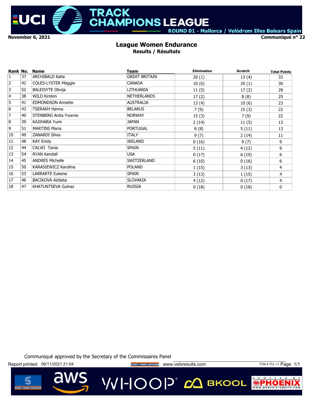

**MPIONS LEAGUE** ROUND 01 - Mallorca / Velòdrom Illes Balears Spain

**Communiqué n° 22**

#### **League Women Endurance Results / Résultats**

TRACK

| Rank No.       |    | <b>Name</b>                  | Team                 | <b>Elimination</b> | <b>Scratch</b> | <b>Total Points</b> |
|----------------|----|------------------------------|----------------------|--------------------|----------------|---------------------|
| $\mathbf{1}$   | 37 | <b>ARCHIBALD Katie</b>       | <b>GREAT BRITAIN</b> | 20(1)              | 13(4)          | 33                  |
| $\overline{2}$ | 42 | <b>COLES-LYSTER Maggie</b>   | <b>CANADA</b>        | 10(6)              | 20(1)          | 30                  |
| 3              | 52 | <b>BALEISYTE Olivija</b>     | LITHUANIA            | 11(5)              | 17(2)          | 28                  |
| $\overline{4}$ | 38 | <b>WILD Kirsten</b>          | <b>NETHERLANDS</b>   | 17(2)              | 8(8)           | 25                  |
| '5             | 41 | <b>EDMONDSON Annette</b>     | <b>AUSTRALIA</b>     | 13(4)              | 10(6)          | 23                  |
| 6              | 43 | <b>TSERAKH Hanna</b>         | <b>BELARUS</b>       | 7(9)               | 15(3)          | 22                  |
| $\overline{7}$ | 40 | <b>STENBERG Anita Yvonne</b> | <b>NORWAY</b>        | 15(3)              | 7(9)           | 22                  |
| 8              | 39 | KAJIHARA Yumi                | <b>JAPAN</b>         | 2(14)              | 11(5)          | 13                  |
| 9              | 51 | <b>MARTINS Maria</b>         | <b>PORTUGAL</b>      | 8(8)               | 5(11)          | 13                  |
| 10             | 49 | <b>ZANARDI Silvia</b>        | <b>ITALY</b>         | 9(7)               | 2(14)          | 11                  |
| 11             | 48 | <b>KAY Emily</b>             | <b>IRELAND</b>       | 0(16)              | 9(7)           | 9                   |
| 12             | 44 | CALVO Tania                  | <b>SPAIN</b>         | 5(11)              | 4 (12)         | 9                   |
| 13             | 54 | <b>RYAN Kendall</b>          | <b>USA</b>           | 0(17)              | 6(10)          | 6                   |
| 14             | 45 | <b>ANDRES Michelle</b>       | SWITZERLAND          | 6(10)              | 0(16)          | 6                   |
| 15             | 50 | KARASIEWICZ Karolina         | <b>POLAND</b>        | 1(15)              | 3(13)          | $\overline{4}$      |
| 16             | 53 | <b>LARRARTE Eukene</b>       | <b>SPAIN</b>         | 3(13)              | 1(15)          | 4                   |
| 17             | 46 | <b>BACIKOVA Alzbeta</b>      | <b>SLOVAKIA</b>      | 4(12)              | 0(17)          | $\overline{4}$      |
| 18             | 47 | <b>KHATUNTSEVA Gulnaz</b>    | <b>RUSSIA</b>        | 0(18)              | 0(18)          | 0                   |

Communiqué approved by the Secretary of the Commissaires Panel

Report printed: 06/11/2021 21:04 **Wave Strong TIMING SOTTWARE** WWW.Veloresults.com TCM 4 TCL v1 Page 1/1

VVI-IOOP® сД вкооц

w

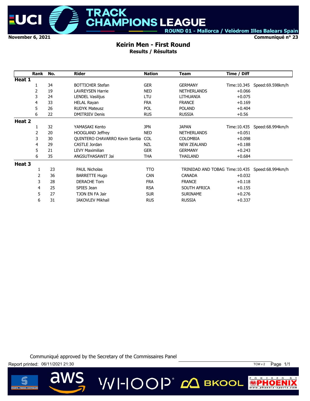

**TRACK** 

**Communiqué n° 23**

# **Keirin Men - First Round**

**Results / Résultats**

|        | Rank | No. | <b>Rider</b>                          | <b>Nation</b> | <b>Team</b>                                     | Time / Diff  |                  |
|--------|------|-----|---------------------------------------|---------------|-------------------------------------------------|--------------|------------------|
| Heat 1 |      |     |                                       |               |                                                 |              |                  |
|        |      | 34  | <b>BOTTICHER Stefan</b>               | <b>GER</b>    | <b>GERMANY</b>                                  | Time: 10.345 | Speed:69.598km/h |
|        | 2    | 19  | <b>LAVREYSEN Harrie</b>               | <b>NED</b>    | <b>NETHERLANDS</b>                              | $+0.066$     |                  |
|        | 3    | 24  | <b>LENDEL Vasilijus</b>               | LTU           | LITHUANIA                                       | $+0.075$     |                  |
|        | 4    | 33  | <b>HELAL Rayan</b>                    | <b>FRA</b>    | <b>FRANCE</b>                                   | $+0.169$     |                  |
|        | 5    | 26  | <b>RUDYK Mateusz</b>                  | <b>POL</b>    | <b>POLAND</b>                                   | $+0.404$     |                  |
|        | 6    | 22  | <b>DMITRIEV Denis</b>                 | <b>RUS</b>    | <b>RUSSIA</b>                                   | $+0.56$      |                  |
| Heat 2 |      |     |                                       |               |                                                 |              |                  |
|        |      | 32  | YAMASAKI Kento                        | <b>JPN</b>    | <b>JAPAN</b>                                    | Time: 10.435 | Speed:68.994km/h |
|        | 2    | 20  | <b>HOOGLAND Jeffrey</b>               | <b>NED</b>    | <b>NETHERLANDS</b>                              | $+0.051$     |                  |
|        | 3    | 30  | <b>OUINTERO CHAVARRO Kevin Santia</b> | <b>COL</b>    | <b>COLOMBIA</b>                                 | $+0.098$     |                  |
|        | 4    | 29  | CASTLE Jordan                         | NZL           | <b>NEW ZEALAND</b>                              | $+0.188$     |                  |
|        | 5    | 21  | <b>LEVY Maximilian</b>                | <b>GER</b>    | <b>GERMANY</b>                                  | $+0.243$     |                  |
|        | 6    | 35  | ANGSUTHASAWIT Jai                     | <b>THA</b>    | THAILAND                                        | $+0.684$     |                  |
| Heat 3 |      |     |                                       |               |                                                 |              |                  |
|        |      | 23  | <b>PAUL Nicholas</b>                  | <b>TTO</b>    | TRINIDAD AND TOBAG Time:10.435 Speed:68.994km/h |              |                  |
|        | 2    | 36  | <b>BARRETTE Hugo</b>                  | <b>CAN</b>    | <b>CANADA</b>                                   | $+0.032$     |                  |
|        | 3    | 28  | <b>DERACHE Tom</b>                    | <b>FRA</b>    | <b>FRANCE</b>                                   | $+0.118$     |                  |
|        | 4    | 25  | SPIES Jean                            | <b>RSA</b>    | SOUTH AFRICA                                    | $+0.155$     |                  |
|        | 5    | 27  | TJON EN FA Jair                       | <b>SUR</b>    | <b>SURINAME</b>                                 | $+0.276$     |                  |
|        | 6    | 31  | <b>IAKOVLEV Mikhail</b>               | <b>RUS</b>    | <b>RUSSIA</b>                                   | $+0.337$     |                  |

VVI-IOOP® сД вкооц

Communiqué approved by the Secretary of the Commissaires Panel



 $\overline{\mathbf{d}}$ 



P O W E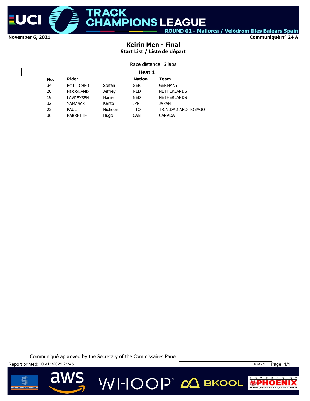

**Communiqué n° 24 A**

#### **Keirin Men - Final Start List / Liste de départ**

| Race distance: 6 laps |  |
|-----------------------|--|
|-----------------------|--|

|                                              | Heat 1           |                 |            |                     |  |  |  |  |
|----------------------------------------------|------------------|-----------------|------------|---------------------|--|--|--|--|
| <b>Rider</b><br><b>Nation</b><br>Team<br>No. |                  |                 |            |                     |  |  |  |  |
| 34                                           | <b>BOTTICHER</b> | Stefan          | <b>GER</b> | <b>GERMANY</b>      |  |  |  |  |
| 20                                           | <b>HOOGLAND</b>  | <b>Jeffrey</b>  | <b>NED</b> | <b>NETHERLANDS</b>  |  |  |  |  |
| 19                                           | LAVREYSEN        | Harrie          | <b>NED</b> | <b>NETHERLANDS</b>  |  |  |  |  |
| 32                                           | YAMASAKI         | Kento           | <b>JPN</b> | <b>JAPAN</b>        |  |  |  |  |
| 23                                           | PAUL             | <b>Nicholas</b> | <b>TTO</b> | TRINIDAD AND TOBAGO |  |  |  |  |
| 36                                           | <b>BARRETTE</b>  | Hugo            | <b>CAN</b> | <b>CANADA</b>       |  |  |  |  |

Communiqué approved by the Secretary of the Commissaires Panel

VVI-IOOP® *с*Д вкооц

Report printed: 06/11/2021 21:45 TCM v 2 Page 1/1



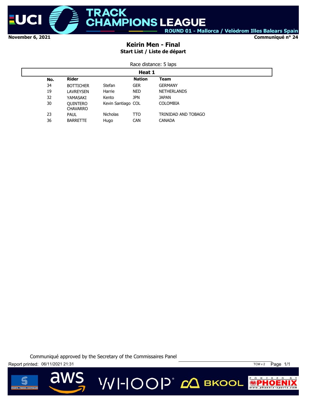

**Communiqué n° 24**

#### **Keirin Men - Final Start List / Liste de départ**

Race distance: 5 laps

|     | Heat 1                             |                    |               |                     |  |  |  |  |
|-----|------------------------------------|--------------------|---------------|---------------------|--|--|--|--|
| No. | <b>Rider</b>                       |                    | <b>Nation</b> | <b>Team</b>         |  |  |  |  |
| 34  | <b>BOTTICHER</b>                   | Stefan             | <b>GER</b>    | <b>GERMANY</b>      |  |  |  |  |
| 19  | <b>LAVREYSEN</b>                   | Harrie             | <b>NED</b>    | <b>NETHERLANDS</b>  |  |  |  |  |
| 32  | YAMASAKI                           | Kento              | <b>JPN</b>    | <b>JAPAN</b>        |  |  |  |  |
| 30  | <b>OUINTERO</b><br><b>CHAVARRO</b> | Kevin Santiago COL |               | <b>COLOMBIA</b>     |  |  |  |  |
| 23  | <b>PAUL</b>                        | <b>Nicholas</b>    | TTO           | TRINIDAD AND TOBAGO |  |  |  |  |
| 36  | <b>BARRETTE</b>                    | Hugo               | <b>CAN</b>    | <b>CANADA</b>       |  |  |  |  |

Communiqué approved by the Secretary of the Commissaires Panel

Report printed: 06/11/2021 21:31 TCM v 2 Page 1/1



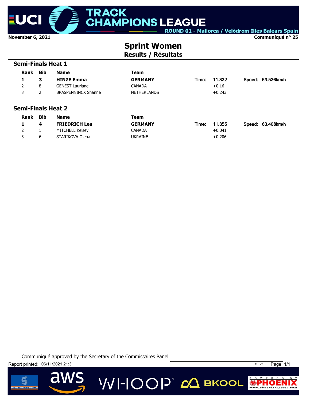

 **Semi-Finals Heat 1**

ROUND 01 - Mallorca / Velòdrom Illes Balears Spain

**Communiqué n° 25**

# **Sprint Women**

**Results / Résultats**

| Rank                      | <b>Bib</b> | <b>Name</b>                | Team               |       |          |                   |
|---------------------------|------------|----------------------------|--------------------|-------|----------|-------------------|
| 1                         | 3          | <b>HINZE Emma</b>          | <b>GERMANY</b>     | Time: | 11.332   | Speed: 63.536km/h |
| 2                         | 8          | <b>GENEST Lauriane</b>     | <b>CANADA</b>      |       | $+0.16$  |                   |
| 3                         | 2          | <b>BRASPENNINCX Shanne</b> | <b>NETHERLANDS</b> |       | $+0.243$ |                   |
| <b>Semi-Finals Heat 2</b> |            |                            |                    |       |          |                   |
| Rank                      | <b>Bib</b> | <b>Name</b>                | <b>Team</b>        |       |          |                   |
| 1                         | 4          | <b>FRIEDRICH Lea</b>       | <b>GERMANY</b>     | Time: | 11.355   | Speed: 63.408km/h |
| $\overline{2}$            |            | <b>MITCHELL Kelsey</b>     | <b>CANADA</b>      |       | $+0.041$ |                   |
| 3                         | 6          | STARIKOVA Olena            | <b>UKRAINE</b>     |       | $+0.206$ |                   |

VVI-IOOP® ДВКООL

Communiqué approved by the Secretary of the Commissaires Panel





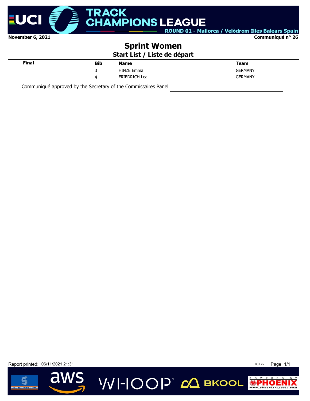

**Communiqué n° 26**

## **Sprint Women**

**Start List / Liste de départ**

**VVI-IOOP** ДВКООL

| <b>Final</b> | <b>Bib</b> | <b>Name</b>          | <b>Team</b>    |
|--------------|------------|----------------------|----------------|
|              | 3          | <b>HINZE Emma</b>    | GERMANY        |
|              |            | <b>FRIEDRICH Lea</b> | <b>GERMANY</b> |
|              |            |                      |                |

Communiqué approved by the Secretary of the Commissaires Panel

Report printed: 06/11/2021 21:31 TCT v2 Page 1/1



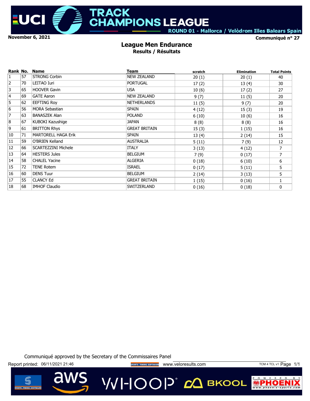

# **MPIONS LEAGUE**

**TRACK** 

ROUND 01 - Mallorca / Velòdrom Illes Balears Spain

**Communiqué n° 27**

#### **League Men Endurance Results / Résultats**

| Rank No.       |    | <b>Name</b>                | Team                 | scratch | <b>Elimination</b> | <b>Total Points</b> |
|----------------|----|----------------------------|----------------------|---------|--------------------|---------------------|
| $\mathbf{1}$   | 57 | <b>STRONG Corbin</b>       | <b>NEW ZEALAND</b>   | 20(1)   | 20(1)              | 40                  |
| $\overline{2}$ | 70 | LEITAO Iuri                | <b>PORTUGAL</b>      | 17(2)   | 13(4)              | 30                  |
| 3              | 65 | <b>HOOVER Gavin</b>        | <b>USA</b>           | 10(6)   | 17(2)              | 27                  |
| $\overline{4}$ | 69 | <b>GATE Aaron</b>          | <b>NEW ZEALAND</b>   | 9(7)    | 11(5)              | 20                  |
| 5              | 62 | EEFTING Roy                | <b>NETHERLANDS</b>   | 11(5)   | 9(7)               | 20                  |
| 6              | 56 | <b>MORA Sebastian</b>      | <b>SPAIN</b>         | 4(12)   | 15(3)              | 19                  |
| 7              | 63 | <b>BANASZEK Alan</b>       | <b>POLAND</b>        | 6(10)   | 10(6)              | 16                  |
| 8              | 67 | KUBOKI Kazushige           | <b>JAPAN</b>         | 8(8)    | 8(8)               | 16                  |
| 9              | 61 | <b>BRITTON Rhys</b>        | <b>GREAT BRITAIN</b> | 15(3)   | 1(15)              | 16                  |
| 10             | 71 | <b>MARTORELL HAGA Erik</b> | <b>SPAIN</b>         | 13(4)   | 2(14)              | 15                  |
| 11             | 59 | O'BRIEN Kelland            | <b>AUSTRALIA</b>     | 5(11)   | 7(9)               | 12                  |
| 12             | 66 | <b>SCARTEZZINI Michele</b> | <b>ITALY</b>         | 3(13)   | 4(12)              | 7                   |
| 13             | 64 | <b>HESTERS Jules</b>       | <b>BELGIUM</b>       | 7(9)    | 0(17)              | $\overline{7}$      |
| 14             | 58 | <b>CHALEL Yacine</b>       | <b>ALGERIA</b>       | 0(18)   | 6(10)              | 6                   |
| 15             | 72 | <b>TENE Rotem</b>          | <b>ISRAEL</b>        | 0(17)   | 5(11)              | 5                   |
| 16             | 60 | <b>DENS Tuur</b>           | <b>BELGIUM</b>       | 2(14)   | 3(13)              | 5                   |
| 17             | 55 | <b>CLANCY Ed</b>           | <b>GREAT BRITAIN</b> | 1(15)   | 0(16)              | 1                   |
| 18             | 68 | <b>IMHOF Claudio</b>       | SWITZERLAND          | 0(16)   | 0(18)              | 0                   |

Communiqué approved by the Secretary of the Commissaires Panel

Report printed: 06/11/2021 21:46 **www.provestand and a secretative corresponding** www.veloresults.com TCM 4 TCL v1 Page 1/1

VVI-IOOP® сД вкооц

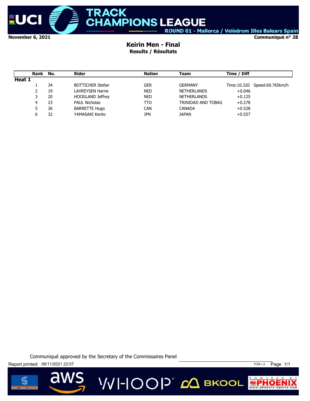

#### **Keirin Men - Final Results / Résultats**

|        | Rank | No. | Rider                   | <b>Nation</b> | Team               | Time / Diff |                              |
|--------|------|-----|-------------------------|---------------|--------------------|-------------|------------------------------|
| Heat 1 |      |     |                         |               |                    |             |                              |
|        |      | 34  | <b>BOTTICHER Stefan</b> | GER           | <b>GERMANY</b>     |             | Time:10.320 Speed:69.765km/h |
|        |      | 19  | <b>LAVREYSEN Harrie</b> | <b>NED</b>    | <b>NETHERLANDS</b> | $+0.046$    |                              |
|        | 3    | 20  | <b>HOOGLAND Jeffrey</b> | <b>NED</b>    | <b>NETHERLANDS</b> | $+0.125$    |                              |
|        | 4    | 23  | <b>PAUL Nicholas</b>    | TTO           | TRINIDAD AND TOBAG | $+0.278$    |                              |
|        |      | 36  | <b>BARRETTE Hugo</b>    | <b>CAN</b>    | <b>CANADA</b>      | $+0.528$    |                              |
|        |      | 32  | YAMASAKI Kento          | jpn           | <b>JAPAN</b>       | $+0.557$    |                              |

Communiqué approved by the Secretary of the Commissaires Panel





 $\overline{\mathbf{d}}$ 

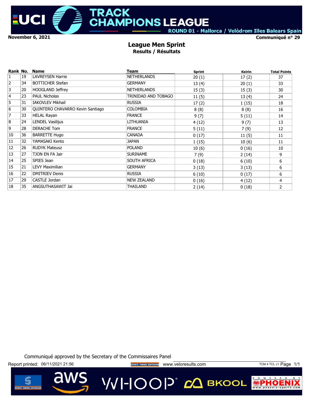

# **TRACK AMPIONS LEAGUE**

ROUND 01 - Mallorca / Velòdrom Illes Balears Spain

**Communiqué n° 29**

#### **League Men Sprint Results / Résultats**

| Rank No.       |    | <b>Name</b>                             | Team                | <b>Sprint</b> | Keirin | <b>Total Points</b> |
|----------------|----|-----------------------------------------|---------------------|---------------|--------|---------------------|
| $\mathbf{1}$   | 19 | <b>LAVREYSEN Harrie</b>                 | <b>NETHERLANDS</b>  | 20(1)         | 17(2)  | 37                  |
| $\overline{2}$ | 34 | <b>BOTTICHER Stefan</b>                 | <b>GERMANY</b>      | 13(4)         | 20(1)  | 33                  |
| 3              | 20 | <b>HOOGLAND Jeffrey</b>                 | <b>NETHERLANDS</b>  | 15(3)         | 15(3)  | 30                  |
| $\overline{4}$ | 23 | <b>PAUL Nicholas</b>                    | TRINIDAD AND TOBAGO | 11(5)         | 13(4)  | 24                  |
| 5              | 31 | <b>IAKOVLEV Mikhail</b>                 | <b>RUSSIA</b>       | 17(2)         | 1(15)  | 18                  |
| 6              | 30 | <b>QUINTERO CHAVARRO Kevin Santiago</b> | <b>COLOMBIA</b>     | 8(8)          | 8(8)   | 16                  |
| $\overline{7}$ | 33 | <b>HELAL Rayan</b>                      | <b>FRANCE</b>       | 9(7)          | 5(11)  | 14                  |
| 8              | 24 | LENDEL Vasilijus                        | LITHUANIA           | 4(12)         | 9(7)   | 13                  |
| 9              | 28 | <b>DERACHE Tom</b>                      | <b>FRANCE</b>       | 5(11)         | 7(9)   | 12                  |
| 10             | 36 | <b>BARRETTE Hugo</b>                    | <b>CANADA</b>       | 0(17)         | 11(5)  | 11                  |
| 11             | 32 | YAMASAKI Kento                          | <b>JAPAN</b>        | 1(15)         | 10(6)  | 11                  |
| 12             | 26 | <b>RUDYK Mateusz</b>                    | <b>POLAND</b>       | 10(6)         | 0(16)  | 10                  |
| 13             | 27 | TJON EN FA Jair                         | <b>SURINAME</b>     | 7(9)          | 2(14)  | 9                   |
| 14             | 25 | SPIES Jean                              | SOUTH AFRICA        | 0(18)         | 6(10)  | 6                   |
| 15             | 21 | LEVY Maximilian                         | <b>GERMANY</b>      | 3(13)         | 3(13)  | 6                   |
| 16             | 22 | <b>DMITRIEV Denis</b>                   | <b>RUSSIA</b>       | 6(10)         | 0(17)  | 6                   |
| 17             | 29 | CASTLE Jordan                           | <b>NEW ZEALAND</b>  | 0(16)         | 4(12)  | 4                   |
| 18             | 35 | ANGSUTHASAWIT Jai                       | THAILAND            | 2(14)         | 0(18)  | $\overline{2}$      |

Communiqué approved by the Secretary of the Commissaires Panel

Report printed: 06/11/2021 21:56 **www.provestage and the second and vertical vertical vertical vertical vertical** www.veloresults.com **TCM 4 TCL v1 Page 1/1** 

a



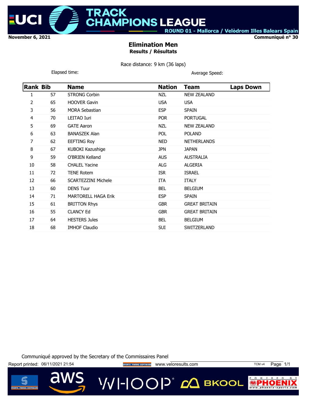

# **IPIONS LEAGUE**

ACK

ROUND 01 - Mallorca / Velòdrom Illes Balears Spain

**Communiqué n° 30**

#### **Elimination Men Results / Résultats**

Race distance: 9 km (36 laps)

| Elapsed time: |  |
|---------------|--|
|               |  |

Average Speed:

| Rank Bib |    | <b>Name</b>                | <b>Nation</b> | <b>Team</b>          | <b>Laps Down</b> |
|----------|----|----------------------------|---------------|----------------------|------------------|
| 1        | 57 | <b>STRONG Corbin</b>       | NZL           | <b>NEW ZEALAND</b>   |                  |
| 2        | 65 | <b>HOOVER Gavin</b>        | <b>USA</b>    | <b>USA</b>           |                  |
| 3        | 56 | <b>MORA Sebastian</b>      | <b>ESP</b>    | <b>SPAIN</b>         |                  |
| 4        | 70 | LEITAO Iuri                | <b>POR</b>    | <b>PORTUGAL</b>      |                  |
| 5        | 69 | <b>GATE Aaron</b>          | <b>NZL</b>    | <b>NEW ZEALAND</b>   |                  |
| 6        | 63 | <b>BANASZEK Alan</b>       | <b>POL</b>    | <b>POLAND</b>        |                  |
| 7        | 62 | <b>EEFTING Roy</b>         | <b>NED</b>    | <b>NETHERLANDS</b>   |                  |
| 8        | 67 | KUBOKI Kazushige           | <b>JPN</b>    | <b>JAPAN</b>         |                  |
| 9        | 59 | O'BRIEN Kelland            | <b>AUS</b>    | <b>AUSTRALIA</b>     |                  |
| 10       | 58 | <b>CHALEL Yacine</b>       | ALG           | <b>ALGERIA</b>       |                  |
| 11       | 72 | <b>TENE Rotem</b>          | <b>ISR</b>    | <b>ISRAEL</b>        |                  |
| 12       | 66 | <b>SCARTEZZINI Michele</b> | ITA           | <b>ITALY</b>         |                  |
| 13       | 60 | <b>DENS Tuur</b>           | <b>BEL</b>    | <b>BELGIUM</b>       |                  |
| 14       | 71 | <b>MARTORELL HAGA Erik</b> | <b>ESP</b>    | <b>SPAIN</b>         |                  |
| 15       | 61 | <b>BRITTON Rhys</b>        | <b>GBR</b>    | <b>GREAT BRITAIN</b> |                  |
| 16       | 55 | <b>CLANCY Ed</b>           | <b>GBR</b>    | <b>GREAT BRITAIN</b> |                  |
| 17       | 64 | <b>HESTERS Jules</b>       | <b>BEL</b>    | <b>BELGIUM</b>       |                  |
| 18       | 68 | <b>IMHOF Claudio</b>       | SUI           | SWITZERLAND          |                  |

Communiqué approved by the Secretary of the Commissaires Panel

Report printed: 06/11/2021 21:54 **Way of the Secret Prince of Development COV** Veloresults.com TCM v4 Page 1/1

**VVI-IOOP** 20 BKOOL



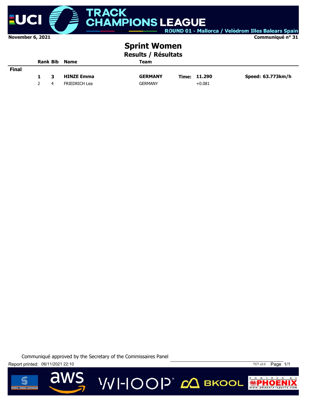

# **RACK HAMPIONS LEAGUE**

ROUND 01 - Mallorca / Velòdrom Illes Balears Spain

**Communiqué n° 31**

# **Sprint Women**

**Results / Résultats**

|              |   | <b>Rank Bib Name</b> | Team           |              |                   |
|--------------|---|----------------------|----------------|--------------|-------------------|
| <b>Final</b> |   |                      |                |              |                   |
|              | З | <b>HINZE Emma</b>    | <b>GERMANY</b> | Time: 11.290 | Speed: 63.773km/h |
|              | 4 | <b>FRIEDRICH Lea</b> | <b>GERMANY</b> | $+0.081$     |                   |

VVI-IOOP® сД вкооц

Communiqué approved by the Secretary of the Commissaires Panel

Report printed: 06/11/2021 22:10 TCT v2.0 Page 1/1